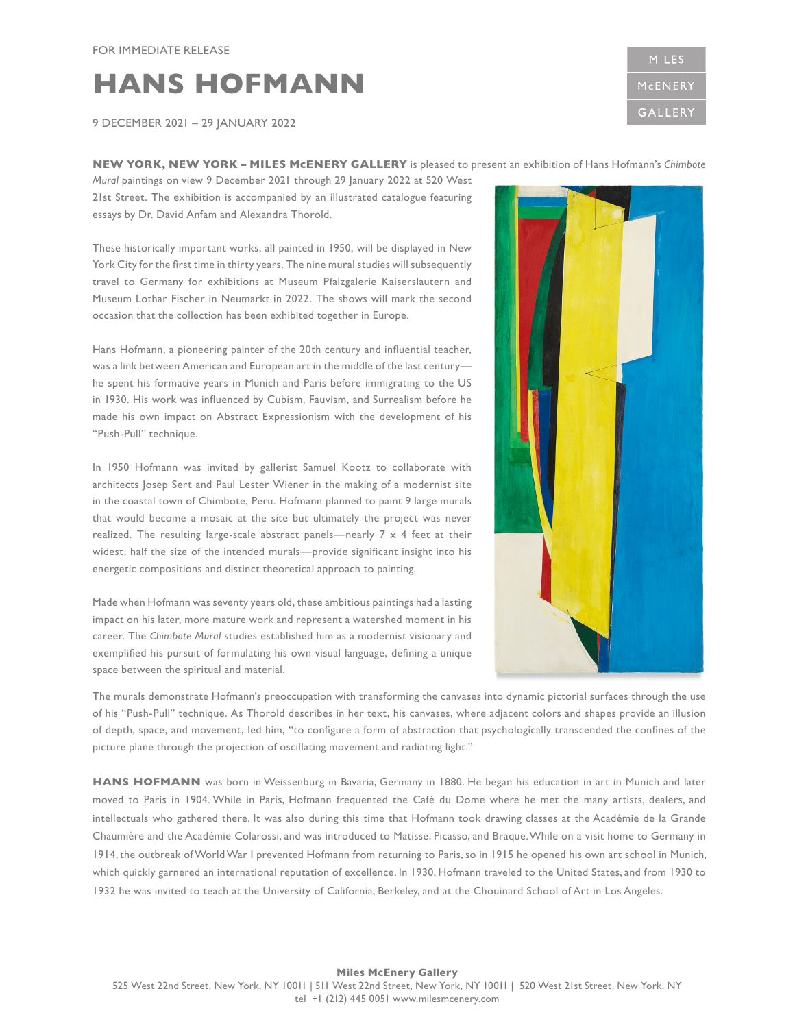## **HANS HOFMANN**

9 DECEMBER 2021 – 29 JANUARY 2022

## **NEW YORK, NEW YORK – MILES McENERY GALLERY** is pleased to present an exhibition of Hans Hofmann's *Chimbote*

*Mural* paintings on view 9 December 2021 through 29 January 2022 at 520 West 21st Street. The exhibition is accompanied by an illustrated catalogue featuring essays by Dr. David Anfam and Alexandra Thorold.

These historically important works, all painted in 1950, will be displayed in New York City for the first time in thirty years. The nine mural studies will subsequently travel to Germany for exhibitions at Museum Pfalzgalerie Kaiserslautern and Museum Lothar Fischer in Neumarkt in 2022. The shows will mark the second occasion that the collection has been exhibited together in Europe.

Hans Hofmann, a pioneering painter of the 20th century and influential teacher, was a link between American and European art in the middle of the last century he spent his formative years in Munich and Paris before immigrating to the US in 1930. His work was influenced by Cubism, Fauvism, and Surrealism before he made his own impact on Abstract Expressionism with the development of his "Push-Pull" technique.

In 1950 Hofmann was invited by gallerist Samuel Kootz to collaborate with architects Josep Sert and Paul Lester Wiener in the making of a modernist site in the coastal town of Chimbote, Peru. Hofmann planned to paint 9 large murals that would become a mosaic at the site but ultimately the project was never realized. The resulting large-scale abstract panels—nearly 7 x 4 feet at their widest, half the size of the intended murals—provide significant insight into his energetic compositions and distinct theoretical approach to painting.

Made when Hofmann was seventy years old, these ambitious paintings had a lasting impact on his later, more mature work and represent a watershed moment in his career. The *Chimbote Mural* studies established him as a modernist visionary and exemplified his pursuit of formulating his own visual language, defining a unique space between the spiritual and material.

The murals demonstrate Hofmann's preoccupation with transforming the canvases into dynamic pictorial surfaces through the use of his "Push-Pull" technique. As Thorold describes in her text, his canvases, where adjacent colors and shapes provide an illusion of depth, space, and movement, led him, "to configure a form of abstraction that psychologically transcended the confines of the picture plane through the projection of oscillating movement and radiating light."

HANS HOFMANN was born in Weissenburg in Bavaria, Germany in 1880. He began his education in art in Munich and later moved to Paris in 1904. While in Paris, Hofmann frequented the Café du Dome where he met the many artists, dealers, and intellectuals who gathered there. It was also during this time that Hofmann took drawing classes at the Académie de la Grande Chaumière and the Académie Colarossi, and was introduced to Matisse, Picasso, and Braque. While on a visit home to Germany in 1914, the outbreak of World War I prevented Hofmann from returning to Paris, so in 1915 he opened his own art school in Munich, which quickly garnered an international reputation of excellence. In 1930, Hofmann traveled to the United States, and from 1930 to 1932 he was invited to teach at the University of California, Berkeley, and at the Chouinard School of Art in Los Angeles.

**MILES** McENERY GALLERY

## **Miles McEnery Gallery**  525 West 22nd Street, New York, NY 10011 | 511 West 22nd Street, New York, NY 10011 | 520 West 21st Street, New York, NY tel +1 (212) 445 0051 www.milesmcenery.com